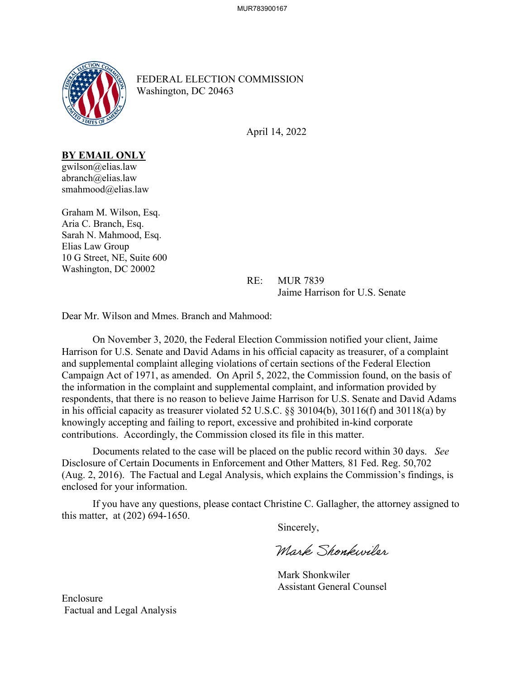

FEDERAL ELECTION COMMISSION Washington, DC 20463

April 14, 2022

**BY EMAIL ONLY**

gwilson@elias.law abranch@elias.law smahmood@elias.law

Graham M. Wilson, Esq. Aria C. Branch, Esq. Sarah N. Mahmood, Esq. Elias Law Group 10 G Street, NE, Suite 600 Washington, DC 20002

> RE: MUR 7839 Jaime Harrison for U.S. Senate

Dear Mr. Wilson and Mmes. Branch and Mahmood:

 On November 3, 2020, the Federal Election Commission notified your client, Jaime Harrison for U.S. Senate and David Adams in his official capacity as treasurer, of a complaint and supplemental complaint alleging violations of certain sections of the Federal Election Campaign Act of 1971, as amended. On April 5, 2022, the Commission found, on the basis of the information in the complaint and supplemental complaint, and information provided by respondents, that there is no reason to believe Jaime Harrison for U.S. Senate and David Adams in his official capacity as treasurer violated 52 U.S.C. §§ 30104(b), 30116(f) and 30118(a) by knowingly accepting and failing to report, excessive and prohibited in-kind corporate contributions. Accordingly, the Commission closed its file in this matter.

Documents related to the case will be placed on the public record within 30 days. *See*  Disclosure of Certain Documents in Enforcement and Other Matters*,* 81 Fed. Reg. 50,702 (Aug. 2, 2016). The Factual and Legal Analysis, which explains the Commission's findings, is enclosed for your information.

If you have any questions, please contact Christine C. Gallagher, the attorney assigned to this matter, at (202) 694-1650.

Sincerely,

Mark Shonkwiler

 Mark Shonkwiler Assistant General Counsel

Enclosure Factual and Legal Analysis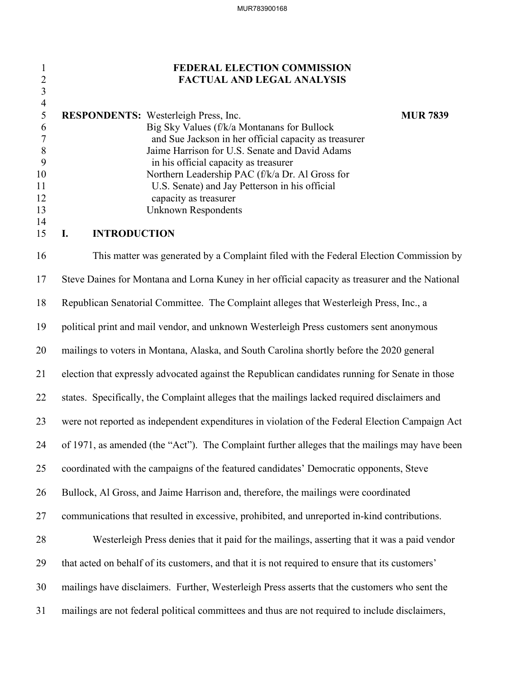## 1 **FEDERAL ELECTION COMMISSION** 2 **FACTUAL AND LEGAL ANALYSIS**

|     | <b>RESPONDENTS:</b> Westerleigh Press, Inc.           | <b>MUR 7839</b> |
|-----|-------------------------------------------------------|-----------------|
| 6   | Big Sky Values (f/k/a Montanans for Bullock           |                 |
|     | and Sue Jackson in her official capacity as treasurer |                 |
| - 8 | Jaime Harrison for U.S. Senate and David Adams        |                 |
|     | in his official capacity as treasurer                 |                 |
| 10  | Northern Leadership PAC (f/k/a Dr. Al Gross for       |                 |
| 11  | U.S. Senate) and Jay Petterson in his official        |                 |
| 12  | capacity as treasurer                                 |                 |
| 13  | Unknown Respondents                                   |                 |
| 14  |                                                       |                 |

### 15 **I. INTRODUCTION**

3 4

16 This matter was generated by a Complaint filed with the Federal Election Commission by 17 Steve Daines for Montana and Lorna Kuney in her official capacity as treasurer and the National 18 Republican Senatorial Committee. The Complaint alleges that Westerleigh Press, Inc., a 19 political print and mail vendor, and unknown Westerleigh Press customers sent anonymous 20 mailings to voters in Montana, Alaska, and South Carolina shortly before the 2020 general 21 election that expressly advocated against the Republican candidates running for Senate in those 22 states. Specifically, the Complaint alleges that the mailings lacked required disclaimers and 23 were not reported as independent expenditures in violation of the Federal Election Campaign Act 24 of 1971, as amended (the "Act"). The Complaint further alleges that the mailings may have been 25 coordinated with the campaigns of the featured candidates' Democratic opponents, Steve 26 Bullock, Al Gross, and Jaime Harrison and, therefore, the mailings were coordinated 27 communications that resulted in excessive, prohibited, and unreported in-kind contributions. 28 Westerleigh Press denies that it paid for the mailings, asserting that it was a paid vendor 29 that acted on behalf of its customers, and that it is not required to ensure that its customers' 30 mailings have disclaimers. Further, Westerleigh Press asserts that the customers who sent the 31 mailings are not federal political committees and thus are not required to include disclaimers,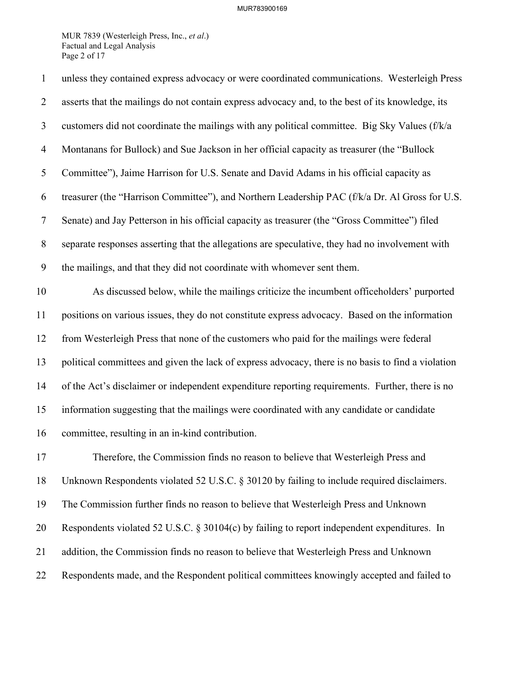### MUR783900169

MUR 7839 (Westerleigh Press, Inc., *et al*.) Factual and Legal Analysis Page 2 of 17

| $\mathbf{1}$   | unless they contained express advocacy or were coordinated communications. Westerleigh Press       |
|----------------|----------------------------------------------------------------------------------------------------|
| $\overline{2}$ | asserts that the mailings do not contain express advocacy and, to the best of its knowledge, its   |
| 3              | customers did not coordinate the mailings with any political committee. Big Sky Values (f/k/a      |
| $\overline{4}$ | Montanans for Bullock) and Sue Jackson in her official capacity as treasurer (the "Bullock         |
| 5              | Committee"), Jaime Harrison for U.S. Senate and David Adams in his official capacity as            |
| 6              | treasurer (the "Harrison Committee"), and Northern Leadership PAC (f/k/a Dr. Al Gross for U.S.     |
| $\tau$         | Senate) and Jay Petterson in his official capacity as treasurer (the "Gross Committee") filed      |
| $8\,$          | separate responses asserting that the allegations are speculative, they had no involvement with    |
| 9              | the mailings, and that they did not coordinate with whomever sent them.                            |
| 10             | As discussed below, while the mailings criticize the incumbent officeholders' purported            |
| 11             | positions on various issues, they do not constitute express advocacy. Based on the information     |
| 12             | from Westerleigh Press that none of the customers who paid for the mailings were federal           |
| 13             | political committees and given the lack of express advocacy, there is no basis to find a violation |
| 14             | of the Act's disclaimer or independent expenditure reporting requirements. Further, there is no    |
| 15             | information suggesting that the mailings were coordinated with any candidate or candidate          |
| 16             | committee, resulting in an in-kind contribution.                                                   |
| 17             | Therefore, the Commission finds no reason to believe that Westerleigh Press and                    |
| 18             | Unknown Respondents violated 52 U.S.C. § 30120 by failing to include required disclaimers.         |
| 19             | The Commission further finds no reason to believe that Westerleigh Press and Unknown               |
| 20             | Respondents violated 52 U.S.C. § 30104(c) by failing to report independent expenditures. In        |
| 21             | addition, the Commission finds no reason to believe that Westerleigh Press and Unknown             |
| 22             | Respondents made, and the Respondent political committees knowingly accepted and failed to         |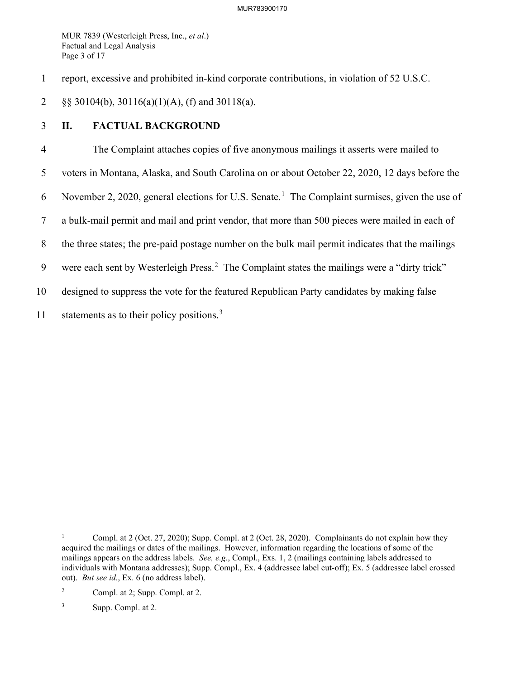MUR 7839 (Westerleigh Press, Inc., *et al*.) Factual and Legal Analysis Page 3 of 17

1 report, excessive and prohibited in-kind corporate contributions, in violation of 52 U.S.C.

2 §§ 30104(b), 30116(a)(1)(A), (f) and 30118(a).

# 3 **II. FACTUAL BACKGROUND**

4 The Complaint attaches copies of five anonymous mailings it asserts were mailed to 5 voters in Montana, Alaska, and South Carolina on or about October 22, 2020, 12 days before the 6 November 2, 2020, general elections for U.S. Senate.<sup>[1](#page-3-0)</sup> The Complaint surmises, given the use of 7 a bulk-mail permit and mail and print vendor, that more than 500 pieces were mailed in each of 8 the three states; the pre-paid postage number on the bulk mail permit indicates that the mailings 9 were each sent by Westerleigh Press.<sup>[2](#page-3-1)</sup> The Complaint states the mailings were a "dirty trick" 10 designed to suppress the vote for the featured Republican Party candidates by making false 11 statements as to their policy positions.<sup>[3](#page-3-2)</sup>

<span id="page-3-0"></span><sup>1</sup> Compl. at 2 (Oct. 27, 2020); Supp. Compl. at 2 (Oct. 28, 2020). Complainants do not explain how they acquired the mailings or dates of the mailings. However, information regarding the locations of some of the mailings appears on the address labels. *See, e.g.*, Compl., Exs. 1, 2 (mailings containing labels addressed to individuals with Montana addresses); Supp. Compl., Ex. 4 (addressee label cut-off); Ex. 5 (addressee label crossed out). *But see id.*, Ex. 6 (no address label).

<span id="page-3-1"></span><sup>2</sup> Compl. at 2; Supp. Compl. at 2.

<span id="page-3-2"></span><sup>3</sup> Supp. Compl. at 2.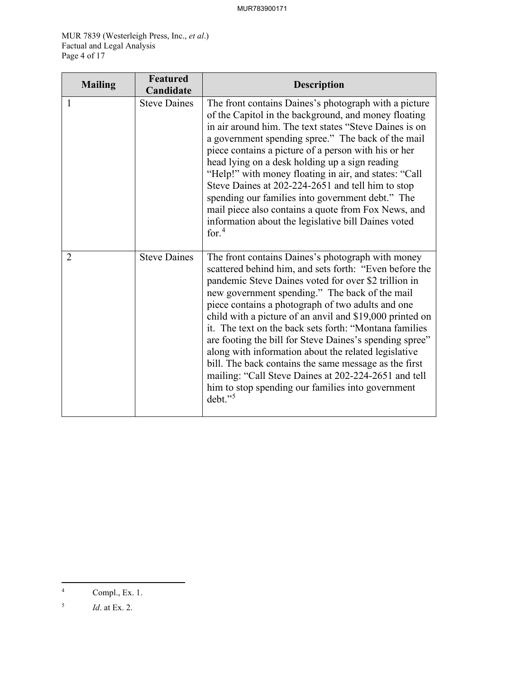MUR 7839 (Westerleigh Press, Inc., *et al*.) Factual and Legal Analysis Page 4 of 17

| <b>Mailing</b> | <b>Featured</b><br>Candidate | <b>Description</b>                                                                                                                                                                                                                                                                                                                                                                                                                                                                                                                                                                                                                                                                                      |
|----------------|------------------------------|---------------------------------------------------------------------------------------------------------------------------------------------------------------------------------------------------------------------------------------------------------------------------------------------------------------------------------------------------------------------------------------------------------------------------------------------------------------------------------------------------------------------------------------------------------------------------------------------------------------------------------------------------------------------------------------------------------|
| 1              | <b>Steve Daines</b>          | The front contains Daines's photograph with a picture<br>of the Capitol in the background, and money floating<br>in air around him. The text states "Steve Daines is on<br>a government spending spree." The back of the mail<br>piece contains a picture of a person with his or her<br>head lying on a desk holding up a sign reading<br>"Help!" with money floating in air, and states: "Call<br>Steve Daines at 202-224-2651 and tell him to stop<br>spending our families into government debt." The<br>mail piece also contains a quote from Fox News, and<br>information about the legislative bill Daines voted<br>for. $4$                                                                     |
| $\overline{2}$ | <b>Steve Daines</b>          | The front contains Daines's photograph with money<br>scattered behind him, and sets forth: "Even before the<br>pandemic Steve Daines voted for over \$2 trillion in<br>new government spending." The back of the mail<br>piece contains a photograph of two adults and one<br>child with a picture of an anvil and \$19,000 printed on<br>it. The text on the back sets forth: "Montana families"<br>are footing the bill for Steve Daines's spending spree"<br>along with information about the related legislative<br>bill. The back contains the same message as the first<br>mailing: "Call Steve Daines at 202-224-2651 and tell<br>him to stop spending our families into government<br>$debt.$ " |

<span id="page-4-0"></span><sup>4</sup> Compl., Ex. 1.

<span id="page-4-1"></span><sup>5</sup> *Id*. at Ex. 2.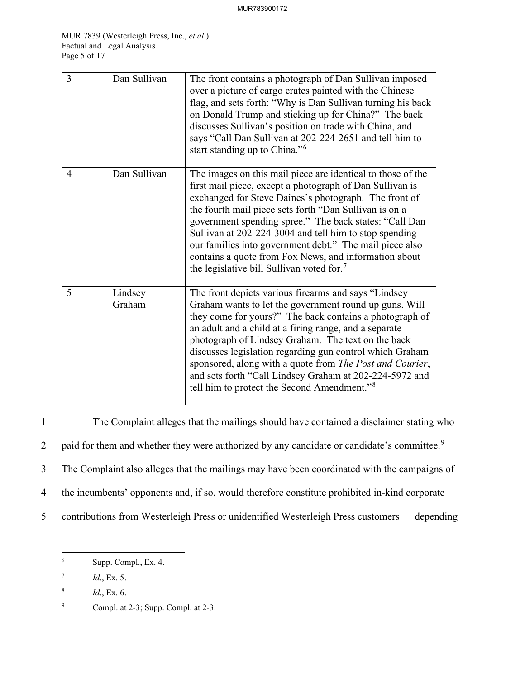| $\overline{3}$ | Dan Sullivan      | The front contains a photograph of Dan Sullivan imposed<br>over a picture of cargo crates painted with the Chinese<br>flag, and sets forth: "Why is Dan Sullivan turning his back<br>on Donald Trump and sticking up for China?" The back<br>discusses Sullivan's position on trade with China, and<br>says "Call Dan Sullivan at 202-224-2651 and tell him to<br>start standing up to China." <sup>6</sup>                                                                                                                                 |
|----------------|-------------------|---------------------------------------------------------------------------------------------------------------------------------------------------------------------------------------------------------------------------------------------------------------------------------------------------------------------------------------------------------------------------------------------------------------------------------------------------------------------------------------------------------------------------------------------|
| 4              | Dan Sullivan      | The images on this mail piece are identical to those of the<br>first mail piece, except a photograph of Dan Sullivan is<br>exchanged for Steve Daines's photograph. The front of<br>the fourth mail piece sets forth "Dan Sullivan is on a<br>government spending spree." The back states: "Call Dan<br>Sullivan at 202-224-3004 and tell him to stop spending<br>our families into government debt." The mail piece also<br>contains a quote from Fox News, and information about<br>the legislative bill Sullivan voted for. <sup>7</sup> |
| 5              | Lindsey<br>Graham | The front depicts various firearms and says "Lindsey<br>Graham wants to let the government round up guns. Will<br>they come for yours?" The back contains a photograph of<br>an adult and a child at a firing range, and a separate<br>photograph of Lindsey Graham. The text on the back<br>discusses legislation regarding gun control which Graham<br>sponsored, along with a quote from The Post and Courier,<br>and sets forth "Call Lindsey Graham at 202-224-5972 and<br>tell him to protect the Second Amendment." <sup>8</sup>     |

1 The Complaint alleges that the mailings should have contained a disclaimer stating who 2 paid for them and whether they were authorized by any candidate or candidate's committee.<sup>[9](#page-5-3)</sup> 3 The Complaint also alleges that the mailings may have been coordinated with the campaigns of 4 the incumbents' opponents and, if so, would therefore constitute prohibited in-kind corporate 5 contributions from Westerleigh Press or unidentified Westerleigh Press customers — depending

<span id="page-5-0"></span><sup>6</sup> Supp. Compl., Ex. 4.

<span id="page-5-1"></span><sup>7</sup> *Id*., Ex. 5.

<span id="page-5-2"></span><sup>8</sup> *Id*., Ex. 6.

<span id="page-5-3"></span><sup>9</sup> Compl. at 2-3; Supp. Compl. at 2-3.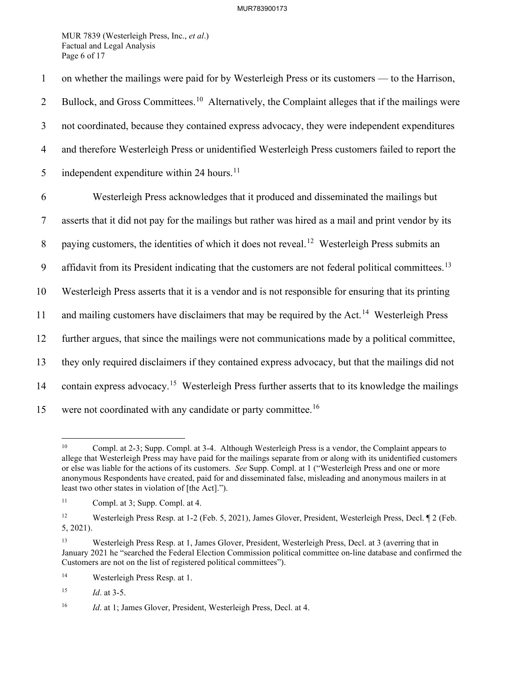MUR 7839 (Westerleigh Press, Inc., *et al*.) Factual and Legal Analysis Page 6 of 17

1 on whether the mailings were paid for by Westerleigh Press or its customers — to the Harrison, 2 Bullock, and Gross Committees.<sup>[10](#page-6-0)</sup> Alternatively, the Complaint alleges that if the mailings were 3 not coordinated, because they contained express advocacy, they were independent expenditures 4 and therefore Westerleigh Press or unidentified Westerleigh Press customers failed to report the 5 independent expenditure within 24 hours.<sup>[11](#page-6-1)</sup> 6 Westerleigh Press acknowledges that it produced and disseminated the mailings but 7 asserts that it did not pay for the mailings but rather was hired as a mail and print vendor by its 8 paying customers, the identities of which it does not reveal.<sup>[12](#page-6-2)</sup> Westerleigh Press submits an 9 affidavit from its President indicating that the customers are not federal political committees.<sup>[13](#page-6-3)</sup> 10 Westerleigh Press asserts that it is a vendor and is not responsible for ensuring that its printing 11 and mailing customers have disclaimers that may be required by the Act.<sup>[14](#page-6-4)</sup> Westerleigh Press 12 further argues, that since the mailings were not communications made by a political committee, 13 they only required disclaimers if they contained express advocacy, but that the mailings did not 14 contain express advocacy.<sup>[15](#page-6-5)</sup> Westerleigh Press further asserts that to its knowledge the mailings 15 were not coordinated with any candidate or party committee.<sup>[16](#page-6-6)</sup>

<span id="page-6-7"></span><span id="page-6-0"></span><sup>&</sup>lt;sup>10</sup> Compl. at 2-3; Supp. Compl. at 3-4. Although Westerleigh Press is a vendor, the Complaint appears to allege that Westerleigh Press may have paid for the mailings separate from or along with its unidentified customers or else was liable for the actions of its customers. *See* Supp. Compl. at 1 ("Westerleigh Press and one or more anonymous Respondents have created, paid for and disseminated false, misleading and anonymous mailers in at least two other states in violation of [the Act].").

<span id="page-6-1"></span><sup>11</sup> Compl. at 3; Supp. Compl. at 4.

<span id="page-6-2"></span><sup>&</sup>lt;sup>12</sup> Westerleigh Press Resp. at 1-2 (Feb. 5, 2021), James Glover, President, Westerleigh Press, Decl. ¶ 2 (Feb. 5, 2021).

<span id="page-6-3"></span><sup>13</sup> Westerleigh Press Resp. at 1, James Glover, President, Westerleigh Press, Decl. at 3 (averring that in January 2021 he "searched the Federal Election Commission political committee on-line database and confirmed the Customers are not on the list of registered political committees").

<span id="page-6-4"></span><sup>14</sup> Westerleigh Press Resp. at 1.

<span id="page-6-5"></span><sup>15</sup> *Id*. at 3-5.

<span id="page-6-6"></span><sup>&</sup>lt;sup>16</sup> *Id.* at 1; James Glover, President, Westerleigh Press, Decl. at 4.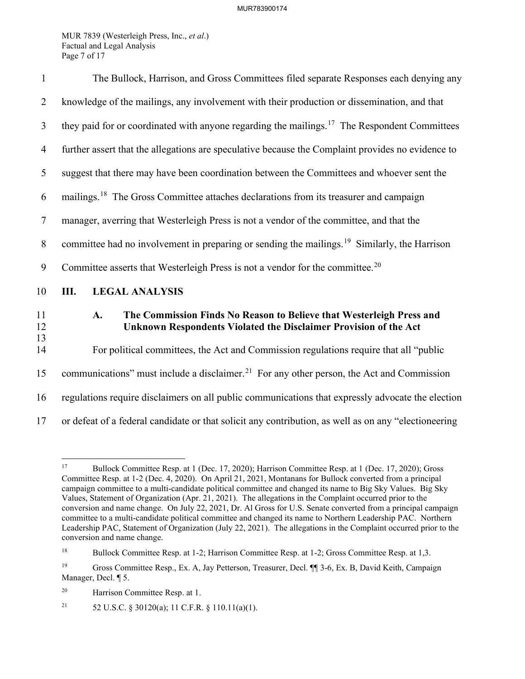MUR 7839 (Westerleigh Press, Inc., *et al*.) Factual and Legal Analysis Page 7 of 17

| $\mathbf{1}$   | The Bullock, Harrison, and Gross Committees filed separate Responses each denying any                                                          |  |  |
|----------------|------------------------------------------------------------------------------------------------------------------------------------------------|--|--|
| $\overline{2}$ | knowledge of the mailings, any involvement with their production or dissemination, and that                                                    |  |  |
| 3              | they paid for or coordinated with anyone regarding the mailings. <sup>17</sup> The Respondent Committees                                       |  |  |
| $\overline{4}$ | further assert that the allegations are speculative because the Complaint provides no evidence to                                              |  |  |
| 5              | suggest that there may have been coordination between the Committees and whoever sent the                                                      |  |  |
| 6              | mailings. <sup>18</sup> The Gross Committee attaches declarations from its treasurer and campaign                                              |  |  |
| $\tau$         | manager, averring that Westerleigh Press is not a vendor of the committee, and that the                                                        |  |  |
| 8              | committee had no involvement in preparing or sending the mailings. <sup>19</sup> Similarly, the Harrison                                       |  |  |
| 9              | Committee asserts that Westerleigh Press is not a vendor for the committee. <sup>20</sup>                                                      |  |  |
| 10             | Ш.<br><b>LEGAL ANALYSIS</b>                                                                                                                    |  |  |
| 11<br>12       | The Commission Finds No Reason to Believe that Westerleigh Press and<br>A.<br>Unknown Respondents Violated the Disclaimer Provision of the Act |  |  |
| 13<br>14       | For political committees, the Act and Commission regulations require that all "public                                                          |  |  |
| 15             | communications" must include a disclaimer. <sup>21</sup> For any other person, the Act and Commission                                          |  |  |
| 16             | regulations require disclaimers on all public communications that expressly advocate the election                                              |  |  |
| 17             | or defeat of a federal candidate or that solicit any contribution, as well as on any "electioneering                                           |  |  |

<span id="page-7-5"></span><span id="page-7-0"></span><sup>17</sup> Bullock Committee Resp. at 1 (Dec. 17, 2020); Harrison Committee Resp. at 1 (Dec. 17, 2020); Gross Committee Resp. at 1-2 (Dec. 4, 2020). On April 21, 2021, Montanans for Bullock converted from a principal campaign committee to a multi-candidate political committee and changed its name to Big Sky Values. Big Sky Values, Statement of Organization (Apr. 21, 2021). The allegations in the Complaint occurred prior to the conversion and name change. On July 22, 2021, Dr. Al Gross for U.S. Senate converted from a principal campaign committee to a multi-candidate political committee and changed its name to Northern Leadership PAC. Northern Leadership PAC, Statement of Organization (July 22, 2021). The allegations in the Complaint occurred prior to the conversion and name change.

<span id="page-7-1"></span><sup>&</sup>lt;sup>18</sup> Bullock Committee Resp. at 1-2; Harrison Committee Resp. at 1-2; Gross Committee Resp. at 1,3.

<span id="page-7-2"></span><sup>19</sup> Gross Committee Resp., Ex. A, Jay Petterson, Treasurer, Decl. ¶¶ 3-6, Ex. B, David Keith, Campaign Manager, Decl. ¶ 5.

<span id="page-7-3"></span><sup>20</sup> Harrison Committee Resp. at 1.

<span id="page-7-4"></span><sup>&</sup>lt;sup>21</sup> 52 U.S.C. § 30120(a); 11 C.F.R. § 110.11(a)(1).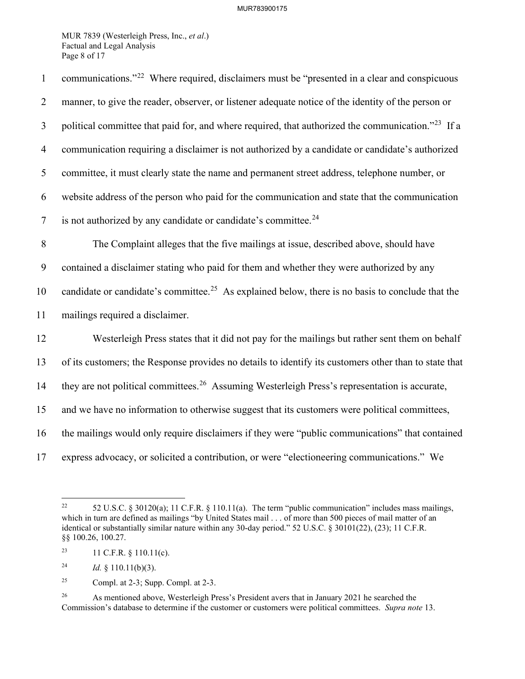MUR 7839 (Westerleigh Press, Inc., *et al*.) Factual and Legal Analysis Page 8 of 17

| $\mathbf{1}$   | communications." <sup>22</sup> Where required, disclaimers must be "presented in a clear and conspicuous      |
|----------------|---------------------------------------------------------------------------------------------------------------|
| $\overline{2}$ | manner, to give the reader, observer, or listener adequate notice of the identity of the person or            |
| 3              | political committee that paid for, and where required, that authorized the communication." <sup>23</sup> If a |
| $\overline{4}$ | communication requiring a disclaimer is not authorized by a candidate or candidate's authorized               |
| 5              | committee, it must clearly state the name and permanent street address, telephone number, or                  |
| 6              | website address of the person who paid for the communication and state that the communication                 |
| $\overline{7}$ | is not authorized by any candidate or candidate's committee. <sup>24</sup>                                    |
| $\, 8$         | The Complaint alleges that the five mailings at issue, described above, should have                           |
| 9              | contained a disclaimer stating who paid for them and whether they were authorized by any                      |
| 10             | candidate or candidate's committee. <sup>25</sup> As explained below, there is no basis to conclude that the  |
| 11             | mailings required a disclaimer.                                                                               |
| 12             | Westerleigh Press states that it did not pay for the mailings but rather sent them on behalf                  |
| 13             | of its customers; the Response provides no details to identify its customers other than to state that         |
| 14             | they are not political committees. <sup>26</sup> Assuming Westerleigh Press's representation is accurate,     |
| 15             | and we have no information to otherwise suggest that its customers were political committees,                 |
| 16             | the mailings would only require disclaimers if they were "public communications" that contained               |
| 17             | express advocacy, or solicited a contribution, or were "electioneering communications." We                    |

<span id="page-8-0"></span><sup>&</sup>lt;sup>22</sup> 52 U.S.C. § 30120(a); 11 C.F.R. § 110.11(a). The term "public communication" includes mass mailings, which in turn are defined as mailings "by United States mail . . . of more than 500 pieces of mail matter of an identical or substantially similar nature within any 30-day period." 52 U.S.C. § 30101(22), (23); 11 C.F.R. §§ 100.26, 100.27.

<span id="page-8-1"></span><sup>&</sup>lt;sup>23</sup> 11 C.F.R. § 110.11(c).

<span id="page-8-2"></span><sup>&</sup>lt;sup>24</sup> *Id.* § 110.11(b)(3).

<span id="page-8-3"></span><sup>&</sup>lt;sup>25</sup> Compl. at 2-3; Supp. Compl. at 2-3.

<span id="page-8-4"></span><sup>&</sup>lt;sup>26</sup> As mentioned above, Westerleigh Press's President avers that in January 2021 he searched the Commission's database to determine if the customer or customers were political committees. *Supra note* [13.](#page-6-7)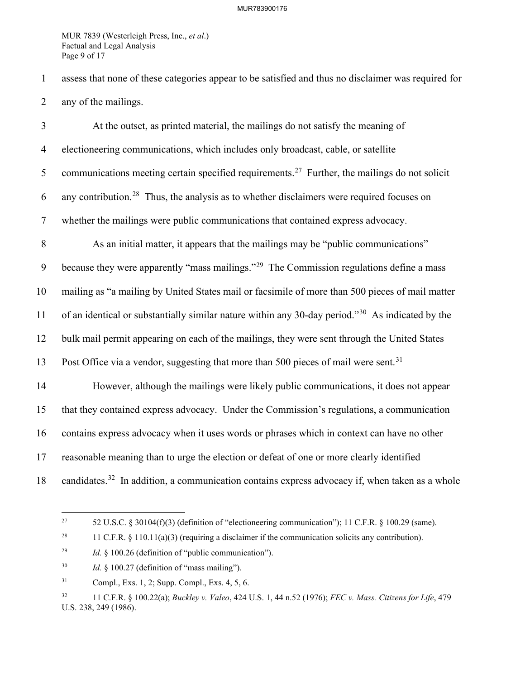MUR 7839 (Westerleigh Press, Inc., *et al*.) Factual and Legal Analysis Page 9 of 17

1 assess that none of these categories appear to be satisfied and thus no disclaimer was required for 2 any of the mailings.

3 At the outset, as printed material, the mailings do not satisfy the meaning of 4 electioneering communications, which includes only broadcast, cable, or satellite 5 communications meeting certain specified requirements.<sup>[27](#page-9-0)</sup> Further, the mailings do not solicit 6 any contribution.<sup>[28](#page-9-1)</sup> Thus, the analysis as to whether disclaimers were required focuses on 7 whether the mailings were public communications that contained express advocacy. 8 As an initial matter, it appears that the mailings may be "public communications" 9 because they were apparently "mass mailings."<sup>[29](#page-9-2)</sup> The Commission regulations define a mass 10 mailing as "a mailing by United States mail or facsimile of more than 500 pieces of mail matter 11 of an identical or substantially similar nature within any [30](#page-9-3)-day period."<sup>30</sup> As indicated by the 12 bulk mail permit appearing on each of the mailings, they were sent through the United States 13 Post Office via a vendor, suggesting that more than 500 pieces of mail were sent.<sup>[31](#page-9-4)</sup> 14 However, although the mailings were likely public communications, it does not appear 15 that they contained express advocacy. Under the Commission's regulations, a communication 16 contains express advocacy when it uses words or phrases which in context can have no other 17 reasonable meaning than to urge the election or defeat of one or more clearly identified 18 candidates.<sup>[32](#page-9-5)</sup> In addition, a communication contains express advocacy if, when taken as a whole

<span id="page-9-0"></span><sup>&</sup>lt;sup>27</sup> 52 U.S.C. § 30104(f)(3) (definition of "electioneering communication"); 11 C.F.R. § 100.29 (same).

<span id="page-9-1"></span><sup>&</sup>lt;sup>28</sup> 11 C.F.R. § 110.11(a)(3) (requiring a disclaimer if the communication solicits any contribution).

<span id="page-9-2"></span><sup>29</sup> *Id.* § 100.26 (definition of "public communication").

<span id="page-9-3"></span><sup>30</sup> *Id.* § 100.27 (definition of "mass mailing").

<span id="page-9-4"></span><sup>31</sup> Compl., Exs. 1, 2; Supp. Compl., Exs. 4, 5, 6.

<span id="page-9-5"></span><sup>32 11</sup> C.F.R. § 100.22(a); *Buckley v. Valeo*, 424 U.S. 1, 44 n.52 (1976); *FEC v. Mass. Citizens for Life*, 479 U.S. 238, 249 (1986).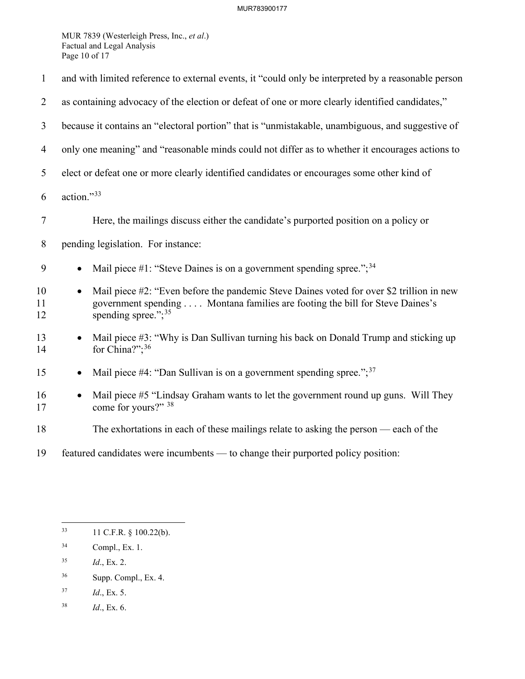MUR 7839 (Westerleigh Press, Inc., *et al*.) Factual and Legal Analysis Page 10 of 17

| $\mathbf{1}$   | and with limited reference to external events, it "could only be interpreted by a reasonable person                                                                                                                      |  |  |
|----------------|--------------------------------------------------------------------------------------------------------------------------------------------------------------------------------------------------------------------------|--|--|
| $\overline{2}$ | as containing advocacy of the election or defeat of one or more clearly identified candidates,"                                                                                                                          |  |  |
| 3              | because it contains an "electoral portion" that is "unmistakable, unambiguous, and suggestive of                                                                                                                         |  |  |
| $\overline{4}$ | only one meaning" and "reasonable minds could not differ as to whether it encourages actions to                                                                                                                          |  |  |
| 5              | elect or defeat one or more clearly identified candidates or encourages some other kind of                                                                                                                               |  |  |
| 6              | action."33                                                                                                                                                                                                               |  |  |
| $\tau$         | Here, the mailings discuss either the candidate's purported position on a policy or                                                                                                                                      |  |  |
| 8              | pending legislation. For instance:                                                                                                                                                                                       |  |  |
| 9              | Mail piece #1: "Steve Daines is on a government spending spree."; $34$<br>$\bullet$                                                                                                                                      |  |  |
| 10<br>11<br>12 | Mail piece #2: "Even before the pandemic Steve Daines voted for over \$2 trillion in new<br>$\bullet$<br>government spending Montana families are footing the bill for Steve Daines's<br>spending spree."; <sup>35</sup> |  |  |
| 13<br>14       | Mail piece #3: "Why is Dan Sullivan turning his back on Donald Trump and sticking up<br>for China?"; $36$                                                                                                                |  |  |
| 15             | Mail piece #4: "Dan Sullivan is on a government spending spree."; $37$                                                                                                                                                   |  |  |
| 16<br>17       | Mail piece #5 "Lindsay Graham wants to let the government round up guns. Will They<br>$\bullet$<br>come for yours?" 38                                                                                                   |  |  |
| 18             | The exhortations in each of these mailings relate to asking the person — each of the                                                                                                                                     |  |  |
| 19             | featured candidates were incumbents — to change their purported policy position:                                                                                                                                         |  |  |

- <span id="page-10-2"></span>35 *Id*., Ex. 2.
- <span id="page-10-3"></span>36 Supp. Compl., Ex. 4.
- <span id="page-10-4"></span>37 *Id*., Ex. 5.
- <span id="page-10-5"></span>38 *Id*., Ex. 6.

<span id="page-10-0"></span><sup>33 11</sup> C.F.R. § 100.22(b).

<span id="page-10-1"></span><sup>34</sup> Compl., Ex. 1.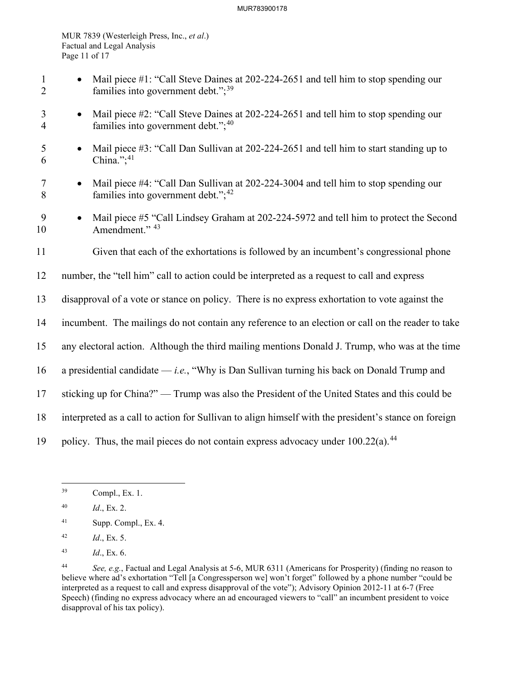#### MUR783900178

MUR 7839 (Westerleigh Press, Inc., *et al*.) Factual and Legal Analysis Page 11 of 17

- 1 Mail piece #1: "Call Steve Daines at 202-224-2651 and tell him to stop spending our 2 families into government debt.";<sup>[39](#page-11-0)</sup>
- 3 Mail piece #2: "Call Steve Daines at 202-224-2651 and tell him to stop spending our 4 families into government debt."; $40$
- 5 Mail piece #3: "Call Dan Sullivan at 202-224-2651 and tell him to start standing up to 6 China."; $41$
- 7 Mail piece #4: "Call Dan Sullivan at 202-224-3004 and tell him to stop spending our 8 families into government debt.";<sup>[42](#page-11-3)</sup>
- 9 Mail piece #5 "Call Lindsey Graham at 202-224-5972 and tell him to protect the Second 10 Amendment." <sup>[43](#page-11-4)</sup>
- 11 Given that each of the exhortations is followed by an incumbent's congressional phone
- 12 number, the "tell him" call to action could be interpreted as a request to call and express
- 13 disapproval of a vote or stance on policy. There is no express exhortation to vote against the
- 14 incumbent. The mailings do not contain any reference to an election or call on the reader to take
- 15 any electoral action. Although the third mailing mentions Donald J. Trump, who was at the time
- 16 a presidential candidate *i.e.*, "Why is Dan Sullivan turning his back on Donald Trump and
- 17 sticking up for China?" Trump was also the President of the United States and this could be
- 18 interpreted as a call to action for Sullivan to align himself with the president's stance on foreign
- 19 policy. Thus, the mail pieces do not contain express advocacy under  $100.22(a)$ .<sup>[44](#page-11-5)</sup>

- <span id="page-11-2"></span>41 Supp. Compl., Ex. 4.
- <span id="page-11-3"></span>42 *Id*., Ex. 5.
- <span id="page-11-4"></span>43 *Id*., Ex. 6.

<span id="page-11-0"></span><sup>39</sup> Compl., Ex. 1.

<span id="page-11-1"></span><sup>40</sup> *Id*., Ex. 2.

<span id="page-11-5"></span><sup>44</sup> *See, e.g.*, Factual and Legal Analysis at 5-6, MUR 6311 (Americans for Prosperity) (finding no reason to believe where ad's exhortation "Tell [a Congressperson we] won't forget" followed by a phone number "could be interpreted as a request to call and express disapproval of the vote"); Advisory Opinion 2012-11 at 6-7 (Free Speech) (finding no express advocacy where an ad encouraged viewers to "call" an incumbent president to voice disapproval of his tax policy).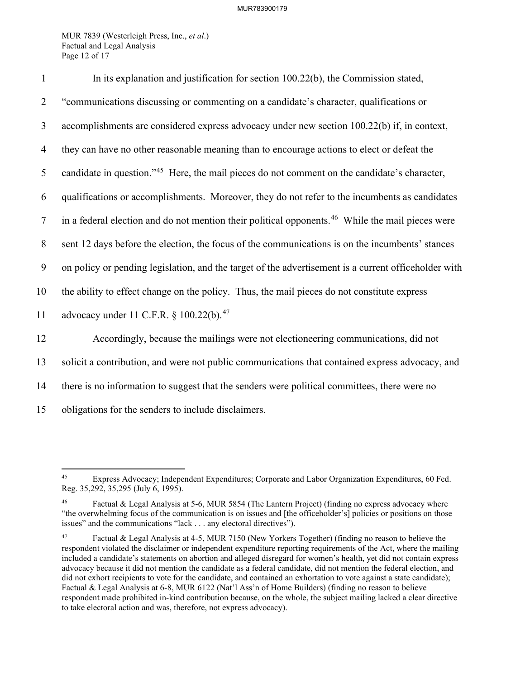MUR 7839 (Westerleigh Press, Inc., *et al*.) Factual and Legal Analysis Page 12 of 17

| $\mathbf{1}$   | In its explanation and justification for section 100.22(b), the Commission stated,                           |
|----------------|--------------------------------------------------------------------------------------------------------------|
| $\overline{2}$ | "communications discussing or commenting on a candidate's character, qualifications or                       |
| 3              | accomplishments are considered express advocacy under new section 100.22(b) if, in context,                  |
| $\overline{4}$ | they can have no other reasonable meaning than to encourage actions to elect or defeat the                   |
| 5              | candidate in question." <sup>45</sup> Here, the mail pieces do not comment on the candidate's character,     |
| 6              | qualifications or accomplishments. Moreover, they do not refer to the incumbents as candidates               |
| $\tau$         | in a federal election and do not mention their political opponents. <sup>46</sup> While the mail pieces were |
| 8              | sent 12 days before the election, the focus of the communications is on the incumbents' stances              |
| 9              | on policy or pending legislation, and the target of the advertisement is a current officeholder with         |
| 10             | the ability to effect change on the policy. Thus, the mail pieces do not constitute express                  |
| 11             | advocacy under 11 C.F.R. § 100.22(b). <sup>47</sup>                                                          |
| 12             | Accordingly, because the mailings were not electioneering communications, did not                            |
| 13             | solicit a contribution, and were not public communications that contained express advocacy, and              |
| 14             | there is no information to suggest that the senders were political committees, there were no                 |
| 15             | obligations for the senders to include disclaimers.                                                          |

<span id="page-12-0"></span><sup>45</sup> Express Advocacy; Independent Expenditures; Corporate and Labor Organization Expenditures, 60 Fed. Reg. 35,292, 35,295 (July 6, 1995).

<span id="page-12-1"></span>Factual & Legal Analysis at 5-6, MUR 5854 (The Lantern Project) (finding no express advocacy where "the overwhelming focus of the communication is on issues and [the officeholder's] policies or positions on those issues" and the communications "lack . . . any electoral directives").

<span id="page-12-2"></span><sup>47</sup> Factual & Legal Analysis at 4-5, MUR 7150 (New Yorkers Together) (finding no reason to believe the respondent violated the disclaimer or independent expenditure reporting requirements of the Act, where the mailing included a candidate's statements on abortion and alleged disregard for women's health, yet did not contain express advocacy because it did not mention the candidate as a federal candidate, did not mention the federal election, and did not exhort recipients to vote for the candidate, and contained an exhortation to vote against a state candidate); Factual & Legal Analysis at 6-8, MUR 6122 (Nat'l Ass'n of Home Builders) (finding no reason to believe respondent made prohibited in-kind contribution because, on the whole, the subject mailing lacked a clear directive to take electoral action and was, therefore, not express advocacy).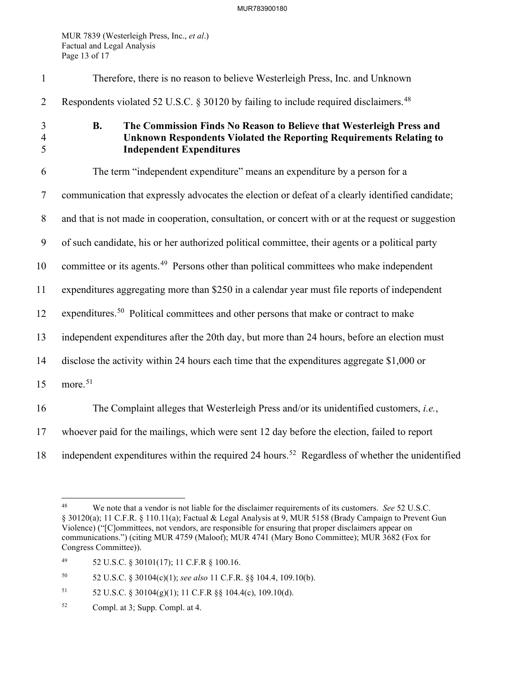MUR 7839 (Westerleigh Press, Inc., *et al*.) Factual and Legal Analysis Page 13 of 17

| $\mathbf{1}$             | Therefore, there is no reason to believe Westerleigh Press, Inc. and Unknown                                                                                                                |
|--------------------------|---------------------------------------------------------------------------------------------------------------------------------------------------------------------------------------------|
| $\overline{2}$           | Respondents violated 52 U.S.C. § 30120 by failing to include required disclaimers. <sup>48</sup>                                                                                            |
| 3<br>$\overline{4}$<br>5 | The Commission Finds No Reason to Believe that Westerleigh Press and<br><b>B.</b><br>Unknown Respondents Violated the Reporting Requirements Relating to<br><b>Independent Expenditures</b> |
| 6                        | The term "independent expenditure" means an expenditure by a person for a                                                                                                                   |
| $\tau$                   | communication that expressly advocates the election or defeat of a clearly identified candidate;                                                                                            |
| $8\phantom{.}$           | and that is not made in cooperation, consultation, or concert with or at the request or suggestion                                                                                          |
| 9                        | of such candidate, his or her authorized political committee, their agents or a political party                                                                                             |
| 10                       | committee or its agents. <sup>49</sup> Persons other than political committees who make independent                                                                                         |
| 11                       | expenditures aggregating more than \$250 in a calendar year must file reports of independent                                                                                                |
| 12                       | expenditures. <sup>50</sup> Political committees and other persons that make or contract to make                                                                                            |
| 13                       | independent expenditures after the 20th day, but more than 24 hours, before an election must                                                                                                |
| 14                       | disclose the activity within 24 hours each time that the expenditures aggregate \$1,000 or                                                                                                  |
| 15                       | more. <sup>51</sup>                                                                                                                                                                         |
| 16                       | The Complaint alleges that Westerleigh Press and/or its unidentified customers, i.e.,                                                                                                       |
| 17                       | whoever paid for the mailings, which were sent 12 day before the election, failed to report                                                                                                 |
| 18                       | independent expenditures within the required 24 hours. <sup>52</sup> Regardless of whether the unidentified                                                                                 |

<span id="page-13-2"></span>50 52 U.S.C. § 30104(c)(1); *see also* 11 C.F.R. §§ 104.4, 109.10(b).

- <span id="page-13-3"></span>51 52 U.S.C. § 30104(g)(1); 11 C.F.R §§ 104.4(c), 109.10(d).
- <span id="page-13-4"></span>52 Compl. at 3; Supp. Compl. at 4.

<span id="page-13-0"></span><sup>48</sup> We note that a vendor is not liable for the disclaimer requirements of its customers. *See* 52 U.S.C. § 30120(a); 11 C.F.R. § 110.11(a); Factual & Legal Analysis at 9, MUR 5158 (Brady Campaign to Prevent Gun Violence) ("[C]ommittees, not vendors, are responsible for ensuring that proper disclaimers appear on communications.") (citing MUR 4759 (Maloof); MUR 4741 (Mary Bono Committee); MUR 3682 (Fox for Congress Committee)).

<span id="page-13-1"></span><sup>49 52</sup> U.S.C. § 30101(17); 11 C.F.R § 100.16.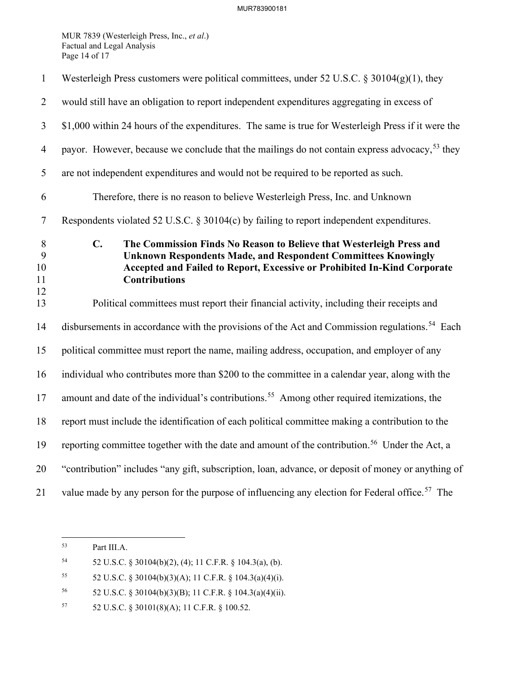MUR 7839 (Westerleigh Press, Inc., *et al*.) Factual and Legal Analysis Page 14 of 17

| $\mathbf{1}$             | Westerleigh Press customers were political committees, under 52 U.S.C. § 30104(g)(1), they                                                                                                                                                                         |
|--------------------------|--------------------------------------------------------------------------------------------------------------------------------------------------------------------------------------------------------------------------------------------------------------------|
| $\overline{2}$           | would still have an obligation to report independent expenditures aggregating in excess of                                                                                                                                                                         |
| $\mathfrak{Z}$           | \$1,000 within 24 hours of the expenditures. The same is true for Westerleigh Press if it were the                                                                                                                                                                 |
| $\overline{4}$           | payor. However, because we conclude that the mailings do not contain express advocacy, <sup>53</sup> they                                                                                                                                                          |
| 5                        | are not independent expenditures and would not be required to be reported as such.                                                                                                                                                                                 |
| 6                        | Therefore, there is no reason to believe Westerleigh Press, Inc. and Unknown                                                                                                                                                                                       |
| $\tau$                   | Respondents violated 52 U.S.C. § 30104(c) by failing to report independent expenditures.                                                                                                                                                                           |
| 8<br>9<br>10<br>11<br>12 | $\mathbf{C}$ .<br>The Commission Finds No Reason to Believe that Westerleigh Press and<br><b>Unknown Respondents Made, and Respondent Committees Knowingly</b><br>Accepted and Failed to Report, Excessive or Prohibited In-Kind Corporate<br><b>Contributions</b> |
| 13                       | Political committees must report their financial activity, including their receipts and                                                                                                                                                                            |
| 14                       | disbursements in accordance with the provisions of the Act and Commission regulations. <sup>54</sup> Each                                                                                                                                                          |
| 15                       | political committee must report the name, mailing address, occupation, and employer of any                                                                                                                                                                         |
| 16                       | individual who contributes more than \$200 to the committee in a calendar year, along with the                                                                                                                                                                     |
| 17                       | amount and date of the individual's contributions. <sup>55</sup> Among other required itemizations, the                                                                                                                                                            |
| 18                       | report must include the identification of each political committee making a contribution to the                                                                                                                                                                    |
| 19                       | reporting committee together with the date and amount of the contribution. <sup>56</sup> Under the Act, a                                                                                                                                                          |
| 20                       | "contribution" includes "any gift, subscription, loan, advance, or deposit of money or anything of                                                                                                                                                                 |
| 21                       | value made by any person for the purpose of influencing any election for Federal office. <sup>57</sup> The                                                                                                                                                         |

<span id="page-14-0"></span><sup>53</sup> Part III[.A.](#page-7-5) 

<span id="page-14-1"></span><sup>54 52</sup> U.S.C. § 30104(b)(2), (4); 11 C.F.R. § 104.3(a), (b).

<span id="page-14-2"></span><sup>55</sup> 52 U.S.C. § 30104(b)(3)(A); 11 C.F.R. § 104.3(a)(4)(i).

<span id="page-14-3"></span><sup>56 52</sup> U.S.C. § 30104(b)(3)(B); 11 C.F.R. § 104.3(a)(4)(ii).

<span id="page-14-4"></span><sup>57 52</sup> U.S.C. § 30101(8)(A); 11 C.F.R. § 100.52.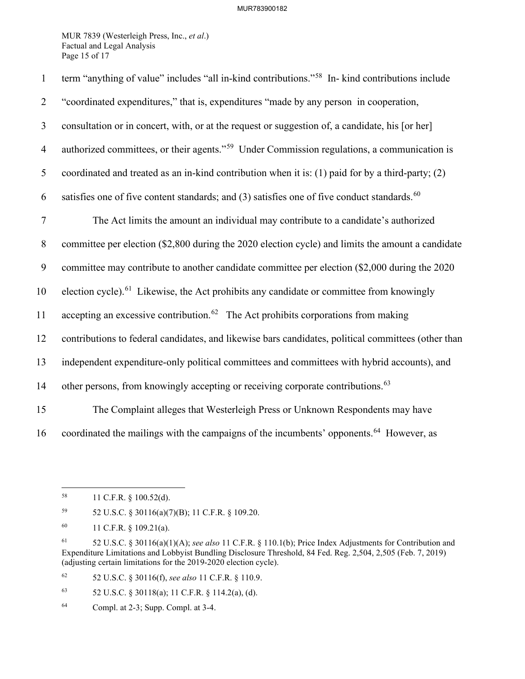MUR 7839 (Westerleigh Press, Inc., *et al*.) Factual and Legal Analysis Page 15 of 17

| $\mathbf{1}$   | term "anything of value" includes "all in-kind contributions." <sup>58</sup> In- kind contributions include |
|----------------|-------------------------------------------------------------------------------------------------------------|
| $\overline{2}$ | "coordinated expenditures," that is, expenditures "made by any person in cooperation,                       |
| $\mathfrak{Z}$ | consultation or in concert, with, or at the request or suggestion of, a candidate, his [or her]             |
| $\overline{4}$ | authorized committees, or their agents." <sup>59</sup> Under Commission regulations, a communication is     |
| 5              | coordinated and treated as an in-kind contribution when it is: (1) paid for by a third-party; (2)           |
| 6              | satisfies one of five content standards; and (3) satisfies one of five conduct standards. <sup>60</sup>     |
| $\tau$         | The Act limits the amount an individual may contribute to a candidate's authorized                          |
| $8\phantom{.}$ | committee per election (\$2,800 during the 2020 election cycle) and limits the amount a candidate           |
| 9              | committee may contribute to another candidate committee per election (\$2,000 during the 2020               |
| 10             | election cycle). <sup>61</sup> Likewise, the Act prohibits any candidate or committee from knowingly        |
| 11             | accepting an excessive contribution. <sup>62</sup> The Act prohibits corporations from making               |
| 12             | contributions to federal candidates, and likewise bars candidates, political committees (other than         |
| 13             | independent expenditure-only political committees and committees with hybrid accounts), and                 |
| 14             | other persons, from knowingly accepting or receiving corporate contributions. <sup>63</sup>                 |
| 15             | The Complaint alleges that Westerleigh Press or Unknown Respondents may have                                |
| 16             | coordinated the mailings with the campaigns of the incumbents' opponents. <sup>64</sup> However, as         |

<span id="page-15-1"></span>59 52 U.S.C. § 30116(a)(7)(B); 11 C.F.R. § 109.20.

<span id="page-15-4"></span>62 52 U.S.C. § 30116(f), *see also* 11 C.F.R. § 110.9.

<span id="page-15-5"></span>63 52 U.S.C. § 30118(a); 11 C.F.R. § 114.2(a), (d).

<span id="page-15-0"></span><sup>58 11</sup> C.F.R. § 100.52(d).

<span id="page-15-2"></span><sup>60 11</sup> C.F.R. § 109.21(a).

<span id="page-15-3"></span><sup>61 52</sup> U.S.C. § 30116(a)(1)(A); *see also* 11 C.F.R. § 110.1(b); Price Index Adjustments for Contribution and Expenditure Limitations and Lobbyist Bundling Disclosure Threshold, 84 Fed. Reg. 2,504, 2,505 (Feb. 7, 2019) (adjusting certain limitations for the 2019-2020 election cycle).

<span id="page-15-6"></span><sup>64</sup> Compl. at 2-3; Supp. Compl. at 3-4.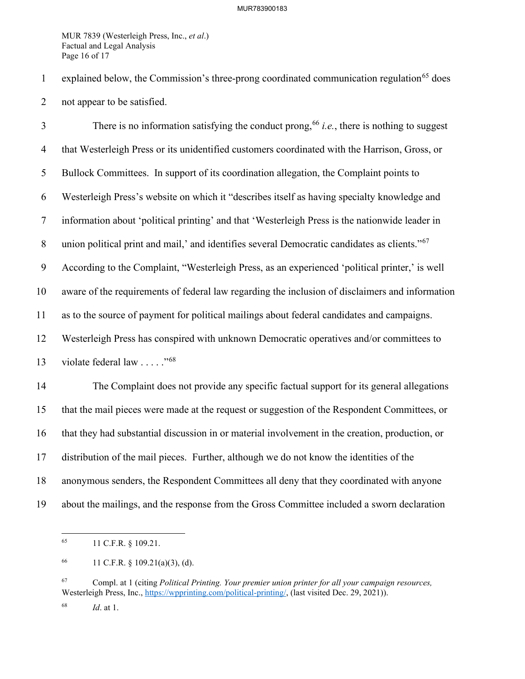MUR 7839 (Westerleigh Press, Inc., *et al*.) Factual and Legal Analysis Page 16 of 17

1 explained below, the Commission's three-prong coordinated communication regulation<sup>[65](#page-16-0)</sup> does 2 not appear to be satisfied.

There is no information satisfying the conduct prong,  $66$  *i.e.*, there is nothing to suggest 4 that Westerleigh Press or its unidentified customers coordinated with the Harrison, Gross, or 5 Bullock Committees. In support of its coordination allegation, the Complaint points to 6 Westerleigh Press's website on which it "describes itself as having specialty knowledge and 7 information about 'political printing' and that 'Westerleigh Press is the nationwide leader in 8 union political print and mail,' and identifies several Democratic candidates as clients."<sup>[67](#page-16-2)</sup> 9 According to the Complaint, "Westerleigh Press, as an experienced 'political printer,' is well 10 aware of the requirements of federal law regarding the inclusion of disclaimers and information 11 as to the source of payment for political mailings about federal candidates and campaigns. 12 Westerleigh Press has conspired with unknown Democratic operatives and/or committees to 13 violate federal law  $\ldots$  .  $\frac{1568}{156}$  $\frac{1568}{156}$  $\frac{1568}{156}$ 14 The Complaint does not provide any specific factual support for its general allegations 15 that the mail pieces were made at the request or suggestion of the Respondent Committees, or 16 that they had substantial discussion in or material involvement in the creation, production, or 17 distribution of the mail pieces. Further, although we do not know the identities of the 18 anonymous senders, the Respondent Committees all deny that they coordinated with anyone

<span id="page-16-0"></span>19 about the mailings, and the response from the Gross Committee included a sworn declaration

<sup>65 11</sup> C.F.R. § 109.21.

<span id="page-16-1"></span><sup>66 11</sup> C.F.R.  $\S$  109.21(a)(3), (d).

<span id="page-16-2"></span><sup>67</sup> Compl. at 1 (citing *Political Printing. Your premier union printer for all your campaign resources,* Westerleigh Press, Inc., [https://wpprinting.com/political-printing/,](https://wpprinting.com/political-printing/) (last visited Dec. 29, 2021)).

<span id="page-16-3"></span><sup>68</sup> *Id*. at 1.